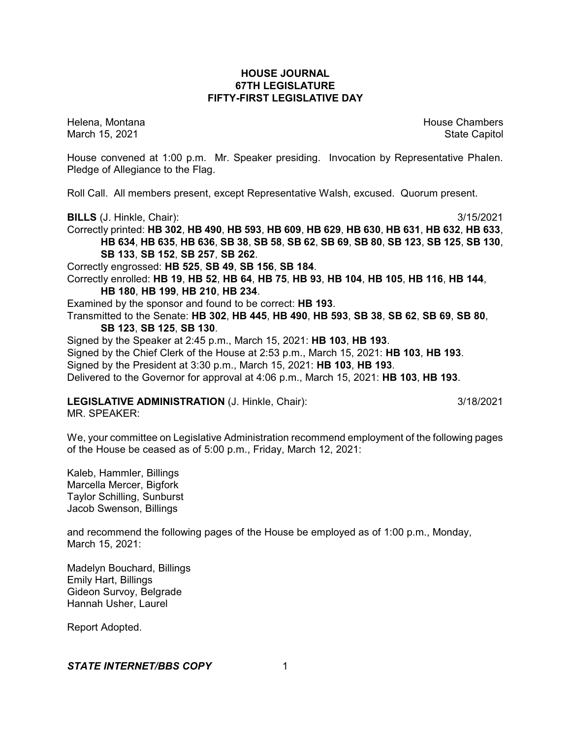# **HOUSE JOURNAL 67TH LEGISLATURE FIFTY-FIRST LEGISLATIVE DAY**

Helena, Montana **House Chambers** House Chambers **House Chambers** March 15, 2021 **State Capitol** State Capitol State Capitol State Capitol State Capitol State Capitol State Capitol

House convened at 1:00 p.m. Mr. Speaker presiding. Invocation by Representative Phalen. Pledge of Allegiance to the Flag.

Roll Call. All members present, except Representative Walsh, excused. Quorum present.

**BILLS** (J. Hinkle, Chair): 3/15/2021

Correctly printed: **HB 302**, **HB 490**, **HB 593**, **HB 609**, **HB 629**, **HB 630**, **HB 631**, **HB 632**, **HB 633**, HB 634, HB 635, HB 636, SB 38, SB 58, SB 62, SB 69, SB 80, SB 123, SB 125, SB 130, **SB 133**, **SB 152**, **SB 257**, **SB 262**.

Correctly engrossed: **HB 525**, **SB 49**, **SB 156**, **SB 184**.

Correctly enrolled: **HB 19**, **HB 52**, **HB 64**, **HB 75**, **HB 93**, **HB 104**, **HB 105**, **HB 116**, **HB 144**, **HB 180**, **HB 199**, **HB 210**, **HB 234**.

Examined by the sponsor and found to be correct: **HB 193**.

Transmitted to the Senate: **HB 302**, **HB 445**, **HB 490**, **HB 593**, **SB 38**, **SB 62**, **SB 69**, **SB 80**,

**SB 123**, **SB 125**, **SB 130**.

Signed by the Speaker at 2:45 p.m., March 15, 2021: **HB 103**, **HB 193**.

Signed by the Chief Clerk of the House at 2:53 p.m., March 15, 2021: **HB 103**, **HB 193**.

Signed by the President at 3:30 p.m., March 15, 2021: **HB 103**, **HB 193**.

Delivered to the Governor for approval at 4:06 p.m., March 15, 2021: **HB 103**, **HB 193**.

# **LEGISLATIVE ADMINISTRATION** (J. Hinkle, Chair): 3/18/2021

MR. SPEAKER:

We, your committee on Legislative Administration recommend employment of the following pages of the House be ceased as of 5:00 p.m., Friday, March 12, 2021:

Kaleb, Hammler, Billings Marcella Mercer, Bigfork Taylor Schilling, Sunburst Jacob Swenson, Billings

and recommend the following pages of the House be employed as of 1:00 p.m., Monday, March 15, 2021:

Madelyn Bouchard, Billings Emily Hart, Billings Gideon Survoy, Belgrade Hannah Usher, Laurel

Report Adopted.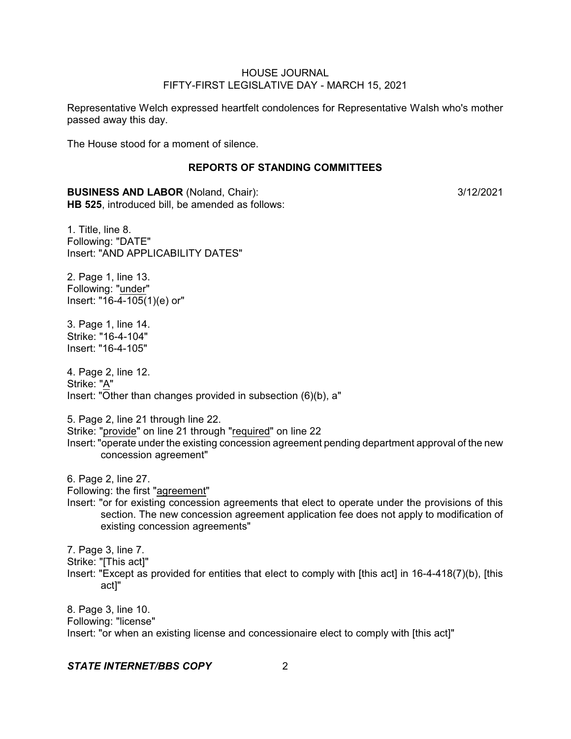Representative Welch expressed heartfelt condolences for Representative Walsh who's mother passed away this day.

The House stood for a moment of silence.

# **REPORTS OF STANDING COMMITTEES**

**BUSINESS AND LABOR** (Noland, Chair):  $\frac{3}{12/2021}$ **HB 525**, introduced bill, be amended as follows:

1. Title, line 8. Following: "DATE" Insert: "AND APPLICABILITY DATES"

2. Page 1, line 13. Following: "under" Insert: "16-4-105(1)(e) or"

3. Page 1, line 14. Strike: "16-4-104" Insert: "16-4-105"

4. Page 2, line 12. Strike: "A" Insert: "Other than changes provided in subsection (6)(b), a"

5. Page 2, line 21 through line 22.

Strike: "provide" on line 21 through "required" on line 22

Insert: "operate under the existing concession agreement pending department approval of the new concession agreement"

6. Page 2, line 27.

Following: the first "agreement"

Insert: "or for existing concession agreements that elect to operate under the provisions of this section. The new concession agreement application fee does not apply to modification of existing concession agreements"

7. Page 3, line 7.

Strike: "[This act]"

Insert: "Except as provided for entities that elect to comply with [this act] in 16-4-418(7)(b), [this act]"

8. Page 3, line 10. Following: "license" Insert: "or when an existing license and concessionaire elect to comply with [this act]"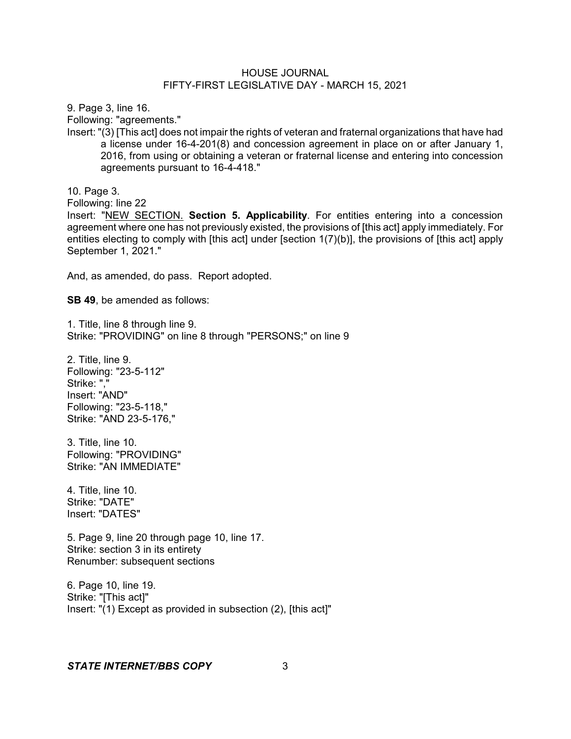9. Page 3, line 16.

Following: "agreements."

Insert: "(3) [This act] does not impair the rights of veteran and fraternal organizations that have had a license under 16-4-201(8) and concession agreement in place on or after January 1, 2016, from using or obtaining a veteran or fraternal license and entering into concession agreements pursuant to 16-4-418."

10. Page 3.

Following: line 22

Insert: "NEW SECTION. **Section 5. Applicability**. For entities entering into a concession agreement where one has not previously existed, the provisions of [this act] apply immediately. For entities electing to comply with [this act] under [section 1(7)(b)], the provisions of [this act] apply September 1, 2021."

And, as amended, do pass. Report adopted.

**SB 49**, be amended as follows:

1. Title, line 8 through line 9. Strike: "PROVIDING" on line 8 through "PERSONS;" on line 9

2. Title, line 9. Following: "23-5-112" Strike: "," Insert: "AND" Following: "23-5-118," Strike: "AND 23-5-176,"

3. Title, line 10. Following: "PROVIDING" Strike: "AN IMMEDIATE"

4. Title, line 10. Strike: "DATE" Insert: "DATES"

5. Page 9, line 20 through page 10, line 17. Strike: section 3 in its entirety Renumber: subsequent sections

6. Page 10, line 19. Strike: "[This act]" Insert: "(1) Except as provided in subsection (2), [this act]"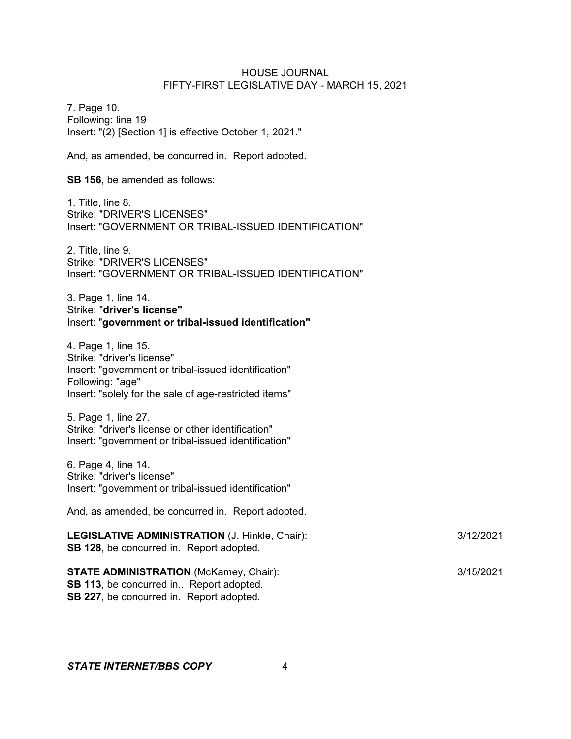7. Page 10. Following: line 19 Insert: "(2) [Section 1] is effective October 1, 2021."

And, as amended, be concurred in. Report adopted.

**SB 156**, be amended as follows:

1. Title, line 8. Strike: "DRIVER'S LICENSES" Insert: "GOVERNMENT OR TRIBAL-ISSUED IDENTIFICATION"

2. Title, line 9. Strike: "DRIVER'S LICENSES" Insert: "GOVERNMENT OR TRIBAL-ISSUED IDENTIFICATION"

3. Page 1, line 14. Strike: "**driver's license"** Insert: "**government or tribal-issued identification"**

4. Page 1, line 15. Strike: "driver's license" Insert: "government or tribal-issued identification" Following: "age" Insert: "solely for the sale of age-restricted items"

5. Page 1, line 27. Strike: "driver's license or other identification" Insert: "government or tribal-issued identification"

6. Page 4, line 14. Strike: "driver's license" Insert: "government or tribal-issued identification"

And, as amended, be concurred in. Report adopted.

| <b>LEGISLATIVE ADMINISTRATION (J. Hinkle, Chair):</b><br><b>SB 128, be concurred in. Report adopted.</b> | 3/12/2021 |
|----------------------------------------------------------------------------------------------------------|-----------|
| <b>STATE ADMINISTRATION (McKamey, Chair):</b>                                                            | 3/15/2021 |

**SB 113**, be concurred in.. Report adopted. **SB 227**, be concurred in. Report adopted.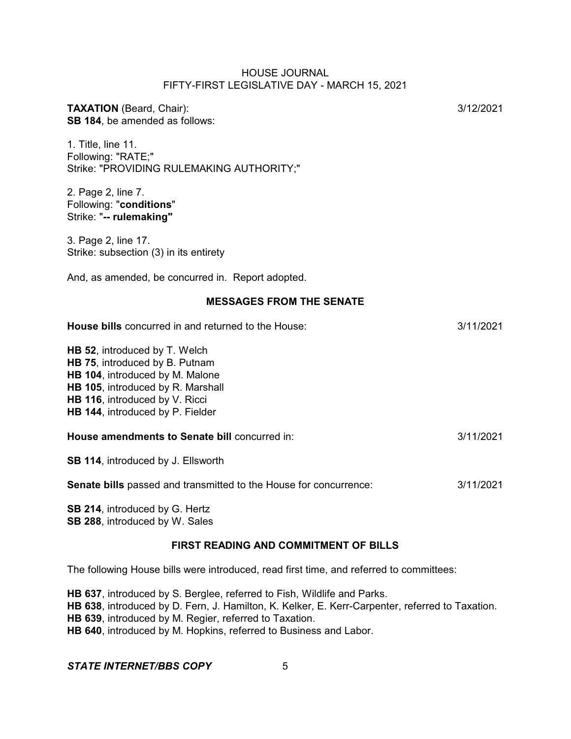| <b>TAXATION</b> (Beard, Chair):<br>SB 184, be amended as follows:                                                                                                                                             | 3/12/2021 |
|---------------------------------------------------------------------------------------------------------------------------------------------------------------------------------------------------------------|-----------|
| 1. Title, line 11.<br>Following: "RATE;"<br>Strike: "PROVIDING RULEMAKING AUTHORITY;"                                                                                                                         |           |
| 2. Page 2, line 7.<br>Following: "conditions"<br>Strike: "-- rulemaking"                                                                                                                                      |           |
| 3. Page 2, line 17.<br>Strike: subsection (3) in its entirety                                                                                                                                                 |           |
| And, as amended, be concurred in. Report adopted.                                                                                                                                                             |           |
| <b>MESSAGES FROM THE SENATE</b>                                                                                                                                                                               |           |
| House bills concurred in and returned to the House:                                                                                                                                                           | 3/11/2021 |
| HB 52, introduced by T. Welch<br>HB 75, introduced by B. Putnam<br>HB 104, introduced by M. Malone<br>HB 105, introduced by R. Marshall<br>HB 116, introduced by V. Ricci<br>HB 144, introduced by P. Fielder |           |
| House amendments to Senate bill concurred in:                                                                                                                                                                 | 3/11/2021 |
| SB 114, introduced by J. Ellsworth                                                                                                                                                                            |           |
| Senate bills passed and transmitted to the House for concurrence:                                                                                                                                             | 3/11/2021 |
| SB 214, introduced by G. Hertz<br>SB 288, introduced by W. Sales                                                                                                                                              |           |

# **FIRST READING AND COMMITMENT OF BILLS**

The following House bills were introduced, read first time, and referred to committees:

**HB 637**, introduced by S. Berglee, referred to Fish, Wildlife and Parks. **HB 638**, introduced by D. Fern, J. Hamilton, K. Kelker, E. Kerr-Carpenter, referred to Taxation. **HB 639**, introduced by M. Regier, referred to Taxation. **HB 640**, introduced by M. Hopkins, referred to Business and Labor.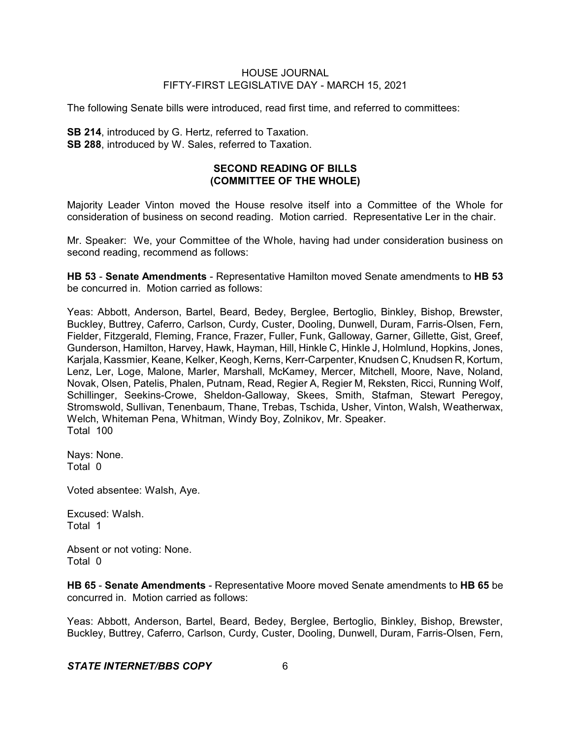The following Senate bills were introduced, read first time, and referred to committees:

**SB 214**, introduced by G. Hertz, referred to Taxation. **SB 288**, introduced by W. Sales, referred to Taxation.

# **SECOND READING OF BILLS (COMMITTEE OF THE WHOLE)**

Majority Leader Vinton moved the House resolve itself into a Committee of the Whole for consideration of business on second reading. Motion carried. Representative Ler in the chair.

Mr. Speaker: We, your Committee of the Whole, having had under consideration business on second reading, recommend as follows:

**HB 53** - **Senate Amendments** - Representative Hamilton moved Senate amendments to **HB 53** be concurred in. Motion carried as follows:

Yeas: Abbott, Anderson, Bartel, Beard, Bedey, Berglee, Bertoglio, Binkley, Bishop, Brewster, Buckley, Buttrey, Caferro, Carlson, Curdy, Custer, Dooling, Dunwell, Duram, Farris-Olsen, Fern, Fielder, Fitzgerald, Fleming, France, Frazer, Fuller, Funk, Galloway, Garner, Gillette, Gist, Greef, Gunderson, Hamilton, Harvey, Hawk, Hayman, Hill, Hinkle C, Hinkle J, Holmlund, Hopkins, Jones, Karjala, Kassmier, Keane, Kelker, Keogh, Kerns, Kerr-Carpenter, Knudsen C, Knudsen R, Kortum, Lenz, Ler, Loge, Malone, Marler, Marshall, McKamey, Mercer, Mitchell, Moore, Nave, Noland, Novak, Olsen, Patelis, Phalen, Putnam, Read, Regier A, Regier M, Reksten, Ricci, Running Wolf, Schillinger, Seekins-Crowe, Sheldon-Galloway, Skees, Smith, Stafman, Stewart Peregoy, Stromswold, Sullivan, Tenenbaum, Thane, Trebas, Tschida, Usher, Vinton, Walsh, Weatherwax, Welch, Whiteman Pena, Whitman, Windy Boy, Zolnikov, Mr. Speaker. Total 100

Nays: None. Total 0

Voted absentee: Walsh, Aye.

Excused: Walsh. Total 1

Absent or not voting: None. Total 0

**HB 65** - **Senate Amendments** - Representative Moore moved Senate amendments to **HB 65** be concurred in. Motion carried as follows:

Yeas: Abbott, Anderson, Bartel, Beard, Bedey, Berglee, Bertoglio, Binkley, Bishop, Brewster, Buckley, Buttrey, Caferro, Carlson, Curdy, Custer, Dooling, Dunwell, Duram, Farris-Olsen, Fern,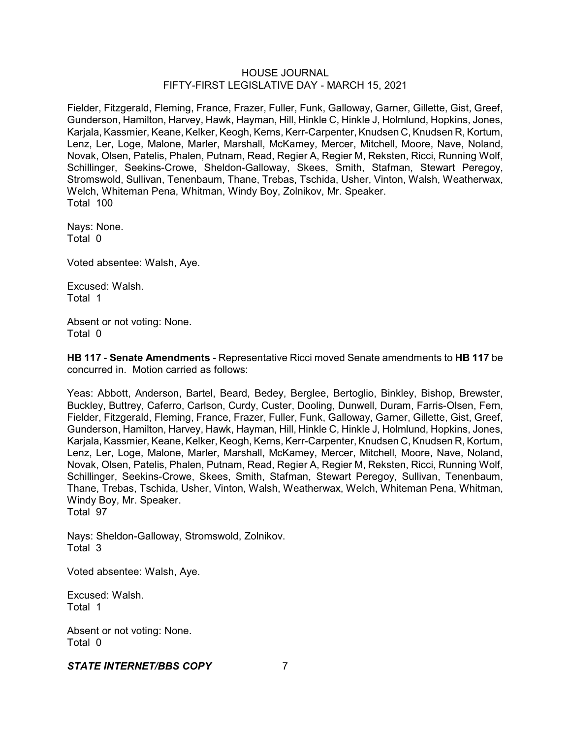Fielder, Fitzgerald, Fleming, France, Frazer, Fuller, Funk, Galloway, Garner, Gillette, Gist, Greef, Gunderson, Hamilton, Harvey, Hawk, Hayman, Hill, Hinkle C, Hinkle J, Holmlund, Hopkins, Jones, Karjala, Kassmier, Keane, Kelker, Keogh, Kerns, Kerr-Carpenter, Knudsen C, Knudsen R, Kortum, Lenz, Ler, Loge, Malone, Marler, Marshall, McKamey, Mercer, Mitchell, Moore, Nave, Noland, Novak, Olsen, Patelis, Phalen, Putnam, Read, Regier A, Regier M, Reksten, Ricci, Running Wolf, Schillinger, Seekins-Crowe, Sheldon-Galloway, Skees, Smith, Stafman, Stewart Peregoy, Stromswold, Sullivan, Tenenbaum, Thane, Trebas, Tschida, Usher, Vinton, Walsh, Weatherwax, Welch, Whiteman Pena, Whitman, Windy Boy, Zolnikov, Mr. Speaker. Total 100

Nays: None. Total 0

Voted absentee: Walsh, Aye.

Excused: Walsh. Total 1

Absent or not voting: None. Total 0

**HB 117** - **Senate Amendments** - Representative Ricci moved Senate amendments to **HB 117** be concurred in. Motion carried as follows:

Yeas: Abbott, Anderson, Bartel, Beard, Bedey, Berglee, Bertoglio, Binkley, Bishop, Brewster, Buckley, Buttrey, Caferro, Carlson, Curdy, Custer, Dooling, Dunwell, Duram, Farris-Olsen, Fern, Fielder, Fitzgerald, Fleming, France, Frazer, Fuller, Funk, Galloway, Garner, Gillette, Gist, Greef, Gunderson, Hamilton, Harvey, Hawk, Hayman, Hill, Hinkle C, Hinkle J, Holmlund, Hopkins, Jones, Karjala, Kassmier, Keane, Kelker, Keogh, Kerns, Kerr-Carpenter, Knudsen C, Knudsen R, Kortum, Lenz, Ler, Loge, Malone, Marler, Marshall, McKamey, Mercer, Mitchell, Moore, Nave, Noland, Novak, Olsen, Patelis, Phalen, Putnam, Read, Regier A, Regier M, Reksten, Ricci, Running Wolf, Schillinger, Seekins-Crowe, Skees, Smith, Stafman, Stewart Peregoy, Sullivan, Tenenbaum, Thane, Trebas, Tschida, Usher, Vinton, Walsh, Weatherwax, Welch, Whiteman Pena, Whitman, Windy Boy, Mr. Speaker. Total 97

Nays: Sheldon-Galloway, Stromswold, Zolnikov. Total 3

Voted absentee: Walsh, Aye.

Excused: Walsh. Total 1

Absent or not voting: None. Total 0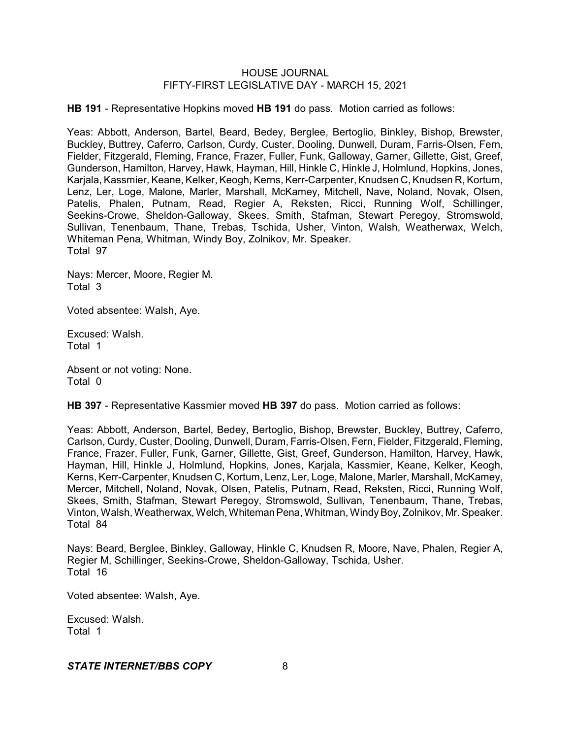**HB 191** - Representative Hopkins moved **HB 191** do pass. Motion carried as follows:

Yeas: Abbott, Anderson, Bartel, Beard, Bedey, Berglee, Bertoglio, Binkley, Bishop, Brewster, Buckley, Buttrey, Caferro, Carlson, Curdy, Custer, Dooling, Dunwell, Duram, Farris-Olsen, Fern, Fielder, Fitzgerald, Fleming, France, Frazer, Fuller, Funk, Galloway, Garner, Gillette, Gist, Greef, Gunderson, Hamilton, Harvey, Hawk, Hayman, Hill, Hinkle C, Hinkle J, Holmlund, Hopkins, Jones, Karjala, Kassmier, Keane, Kelker, Keogh, Kerns, Kerr-Carpenter, Knudsen C, Knudsen R, Kortum, Lenz, Ler, Loge, Malone, Marler, Marshall, McKamey, Mitchell, Nave, Noland, Novak, Olsen, Patelis, Phalen, Putnam, Read, Regier A, Reksten, Ricci, Running Wolf, Schillinger, Seekins-Crowe, Sheldon-Galloway, Skees, Smith, Stafman, Stewart Peregoy, Stromswold, Sullivan, Tenenbaum, Thane, Trebas, Tschida, Usher, Vinton, Walsh, Weatherwax, Welch, Whiteman Pena, Whitman, Windy Boy, Zolnikov, Mr. Speaker. Total 97

Nays: Mercer, Moore, Regier M. Total 3

Voted absentee: Walsh, Aye.

Excused: Walsh. Total 1

Absent or not voting: None. Total 0

**HB 397** - Representative Kassmier moved **HB 397** do pass. Motion carried as follows:

Yeas: Abbott, Anderson, Bartel, Bedey, Bertoglio, Bishop, Brewster, Buckley, Buttrey, Caferro, Carlson, Curdy, Custer, Dooling, Dunwell, Duram, Farris-Olsen, Fern, Fielder, Fitzgerald, Fleming, France, Frazer, Fuller, Funk, Garner, Gillette, Gist, Greef, Gunderson, Hamilton, Harvey, Hawk, Hayman, Hill, Hinkle J, Holmlund, Hopkins, Jones, Karjala, Kassmier, Keane, Kelker, Keogh, Kerns, Kerr-Carpenter, Knudsen C, Kortum, Lenz, Ler, Loge, Malone, Marler, Marshall, McKamey, Mercer, Mitchell, Noland, Novak, Olsen, Patelis, Putnam, Read, Reksten, Ricci, Running Wolf, Skees, Smith, Stafman, Stewart Peregoy, Stromswold, Sullivan, Tenenbaum, Thane, Trebas, Vinton, Walsh, Weatherwax, Welch, WhitemanPena, Whitman, WindyBoy, Zolnikov, Mr. Speaker. Total 84

Nays: Beard, Berglee, Binkley, Galloway, Hinkle C, Knudsen R, Moore, Nave, Phalen, Regier A, Regier M, Schillinger, Seekins-Crowe, Sheldon-Galloway, Tschida, Usher. Total 16

Voted absentee: Walsh, Aye.

Excused: Walsh. Total 1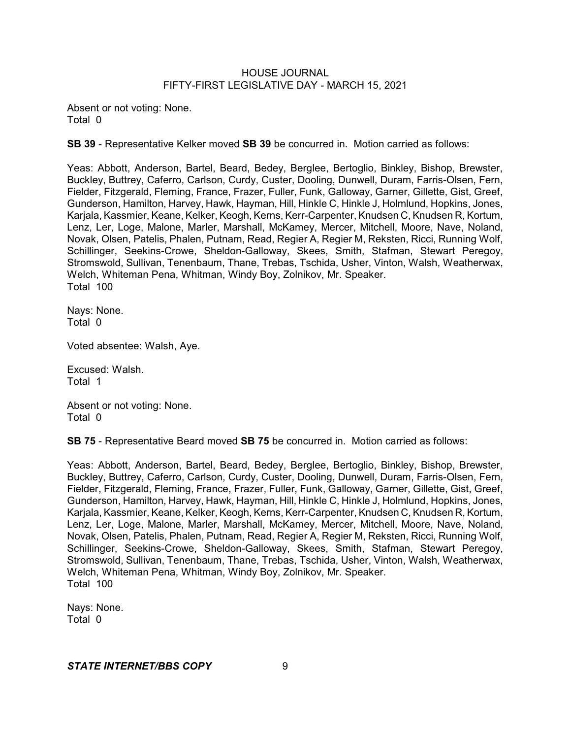Absent or not voting: None. Total 0

**SB 39** - Representative Kelker moved **SB 39** be concurred in. Motion carried as follows:

Yeas: Abbott, Anderson, Bartel, Beard, Bedey, Berglee, Bertoglio, Binkley, Bishop, Brewster, Buckley, Buttrey, Caferro, Carlson, Curdy, Custer, Dooling, Dunwell, Duram, Farris-Olsen, Fern, Fielder, Fitzgerald, Fleming, France, Frazer, Fuller, Funk, Galloway, Garner, Gillette, Gist, Greef, Gunderson, Hamilton, Harvey, Hawk, Hayman, Hill, Hinkle C, Hinkle J, Holmlund, Hopkins, Jones, Karjala, Kassmier, Keane, Kelker, Keogh, Kerns, Kerr-Carpenter, Knudsen C, Knudsen R, Kortum, Lenz, Ler, Loge, Malone, Marler, Marshall, McKamey, Mercer, Mitchell, Moore, Nave, Noland, Novak, Olsen, Patelis, Phalen, Putnam, Read, Regier A, Regier M, Reksten, Ricci, Running Wolf, Schillinger, Seekins-Crowe, Sheldon-Galloway, Skees, Smith, Stafman, Stewart Peregoy, Stromswold, Sullivan, Tenenbaum, Thane, Trebas, Tschida, Usher, Vinton, Walsh, Weatherwax, Welch, Whiteman Pena, Whitman, Windy Boy, Zolnikov, Mr. Speaker. Total 100

Nays: None. Total 0

Voted absentee: Walsh, Aye.

Excused: Walsh. Total 1

Absent or not voting: None. Total 0

**SB 75** - Representative Beard moved **SB 75** be concurred in. Motion carried as follows:

Yeas: Abbott, Anderson, Bartel, Beard, Bedey, Berglee, Bertoglio, Binkley, Bishop, Brewster, Buckley, Buttrey, Caferro, Carlson, Curdy, Custer, Dooling, Dunwell, Duram, Farris-Olsen, Fern, Fielder, Fitzgerald, Fleming, France, Frazer, Fuller, Funk, Galloway, Garner, Gillette, Gist, Greef, Gunderson, Hamilton, Harvey, Hawk, Hayman, Hill, Hinkle C, Hinkle J, Holmlund, Hopkins, Jones, Karjala, Kassmier, Keane, Kelker, Keogh, Kerns, Kerr-Carpenter, Knudsen C, Knudsen R, Kortum, Lenz, Ler, Loge, Malone, Marler, Marshall, McKamey, Mercer, Mitchell, Moore, Nave, Noland, Novak, Olsen, Patelis, Phalen, Putnam, Read, Regier A, Regier M, Reksten, Ricci, Running Wolf, Schillinger, Seekins-Crowe, Sheldon-Galloway, Skees, Smith, Stafman, Stewart Peregoy, Stromswold, Sullivan, Tenenbaum, Thane, Trebas, Tschida, Usher, Vinton, Walsh, Weatherwax, Welch, Whiteman Pena, Whitman, Windy Boy, Zolnikov, Mr. Speaker. Total 100

Nays: None. Total 0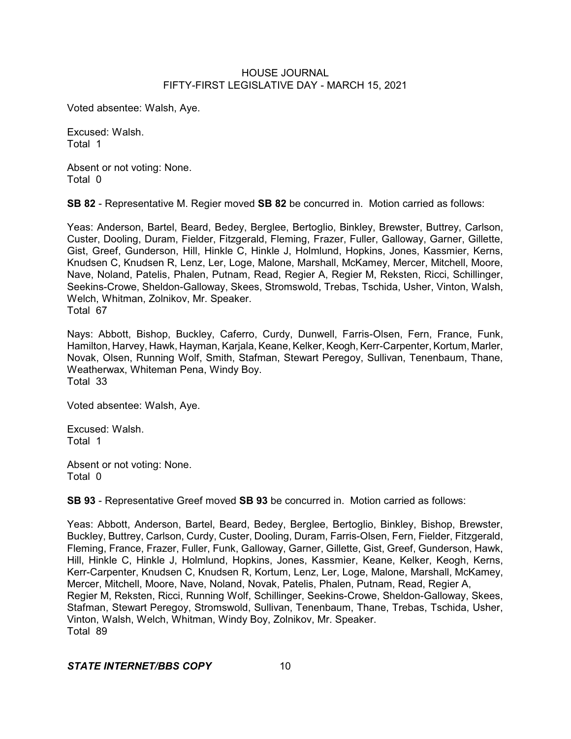Voted absentee: Walsh, Aye.

Excused: Walsh. Total 1

Absent or not voting: None. Total 0

**SB 82** - Representative M. Regier moved **SB 82** be concurred in. Motion carried as follows:

Yeas: Anderson, Bartel, Beard, Bedey, Berglee, Bertoglio, Binkley, Brewster, Buttrey, Carlson, Custer, Dooling, Duram, Fielder, Fitzgerald, Fleming, Frazer, Fuller, Galloway, Garner, Gillette, Gist, Greef, Gunderson, Hill, Hinkle C, Hinkle J, Holmlund, Hopkins, Jones, Kassmier, Kerns, Knudsen C, Knudsen R, Lenz, Ler, Loge, Malone, Marshall, McKamey, Mercer, Mitchell, Moore, Nave, Noland, Patelis, Phalen, Putnam, Read, Regier A, Regier M, Reksten, Ricci, Schillinger, Seekins-Crowe, Sheldon-Galloway, Skees, Stromswold, Trebas, Tschida, Usher, Vinton, Walsh, Welch, Whitman, Zolnikov, Mr. Speaker. Total 67

Nays: Abbott, Bishop, Buckley, Caferro, Curdy, Dunwell, Farris-Olsen, Fern, France, Funk, Hamilton, Harvey, Hawk, Hayman, Karjala, Keane, Kelker, Keogh, Kerr-Carpenter, Kortum, Marler, Novak, Olsen, Running Wolf, Smith, Stafman, Stewart Peregoy, Sullivan, Tenenbaum, Thane, Weatherwax, Whiteman Pena, Windy Boy. Total 33

Voted absentee: Walsh, Aye.

Excused: Walsh. Total 1

Absent or not voting: None. Total 0

**SB 93** - Representative Greef moved **SB 93** be concurred in. Motion carried as follows:

Yeas: Abbott, Anderson, Bartel, Beard, Bedey, Berglee, Bertoglio, Binkley, Bishop, Brewster, Buckley, Buttrey, Carlson, Curdy, Custer, Dooling, Duram, Farris-Olsen, Fern, Fielder, Fitzgerald, Fleming, France, Frazer, Fuller, Funk, Galloway, Garner, Gillette, Gist, Greef, Gunderson, Hawk, Hill, Hinkle C, Hinkle J, Holmlund, Hopkins, Jones, Kassmier, Keane, Kelker, Keogh, Kerns, Kerr-Carpenter, Knudsen C, Knudsen R, Kortum, Lenz, Ler, Loge, Malone, Marshall, McKamey, Mercer, Mitchell, Moore, Nave, Noland, Novak, Patelis, Phalen, Putnam, Read, Regier A, Regier M, Reksten, Ricci, Running Wolf, Schillinger, Seekins-Crowe, Sheldon-Galloway, Skees, Stafman, Stewart Peregoy, Stromswold, Sullivan, Tenenbaum, Thane, Trebas, Tschida, Usher, Vinton, Walsh, Welch, Whitman, Windy Boy, Zolnikov, Mr. Speaker. Total 89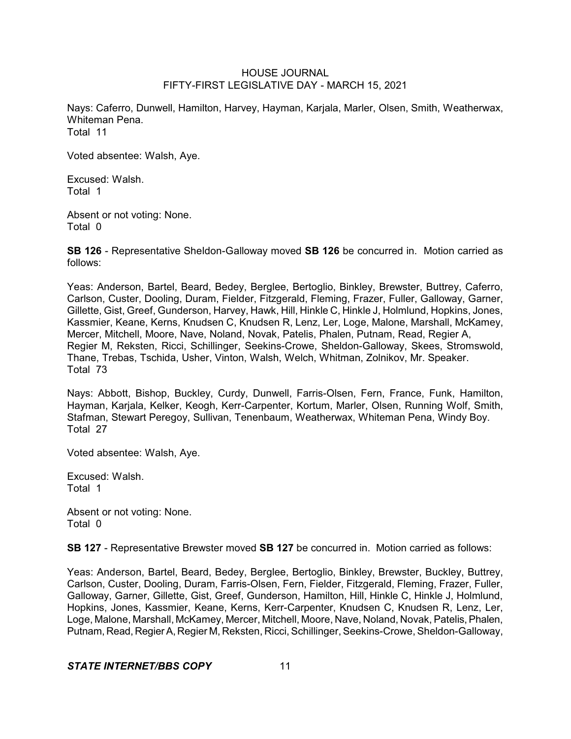Nays: Caferro, Dunwell, Hamilton, Harvey, Hayman, Karjala, Marler, Olsen, Smith, Weatherwax, Whiteman Pena. Total 11

Voted absentee: Walsh, Aye.

Excused: Walsh. Total 1

Absent or not voting: None. Total 0

**SB 126** - Representative Sheldon-Galloway moved **SB 126** be concurred in. Motion carried as follows:

Yeas: Anderson, Bartel, Beard, Bedey, Berglee, Bertoglio, Binkley, Brewster, Buttrey, Caferro, Carlson, Custer, Dooling, Duram, Fielder, Fitzgerald, Fleming, Frazer, Fuller, Galloway, Garner, Gillette, Gist, Greef, Gunderson, Harvey, Hawk, Hill, Hinkle C, Hinkle J, Holmlund, Hopkins, Jones, Kassmier, Keane, Kerns, Knudsen C, Knudsen R, Lenz, Ler, Loge, Malone, Marshall, McKamey, Mercer, Mitchell, Moore, Nave, Noland, Novak, Patelis, Phalen, Putnam, Read, Regier A, Regier M, Reksten, Ricci, Schillinger, Seekins-Crowe, Sheldon-Galloway, Skees, Stromswold, Thane, Trebas, Tschida, Usher, Vinton, Walsh, Welch, Whitman, Zolnikov, Mr. Speaker. Total 73

Nays: Abbott, Bishop, Buckley, Curdy, Dunwell, Farris-Olsen, Fern, France, Funk, Hamilton, Hayman, Karjala, Kelker, Keogh, Kerr-Carpenter, Kortum, Marler, Olsen, Running Wolf, Smith, Stafman, Stewart Peregoy, Sullivan, Tenenbaum, Weatherwax, Whiteman Pena, Windy Boy. Total 27

Voted absentee: Walsh, Aye.

Excused: Walsh. Total 1

Absent or not voting: None. Total 0

**SB 127** - Representative Brewster moved **SB 127** be concurred in. Motion carried as follows:

Yeas: Anderson, Bartel, Beard, Bedey, Berglee, Bertoglio, Binkley, Brewster, Buckley, Buttrey, Carlson, Custer, Dooling, Duram, Farris-Olsen, Fern, Fielder, Fitzgerald, Fleming, Frazer, Fuller, Galloway, Garner, Gillette, Gist, Greef, Gunderson, Hamilton, Hill, Hinkle C, Hinkle J, Holmlund, Hopkins, Jones, Kassmier, Keane, Kerns, Kerr-Carpenter, Knudsen C, Knudsen R, Lenz, Ler, Loge, Malone, Marshall, McKamey, Mercer, Mitchell, Moore, Nave, Noland, Novak, Patelis,Phalen, Putnam, Read, RegierA, Regier M, Reksten, Ricci, Schillinger, Seekins-Crowe, Sheldon-Galloway,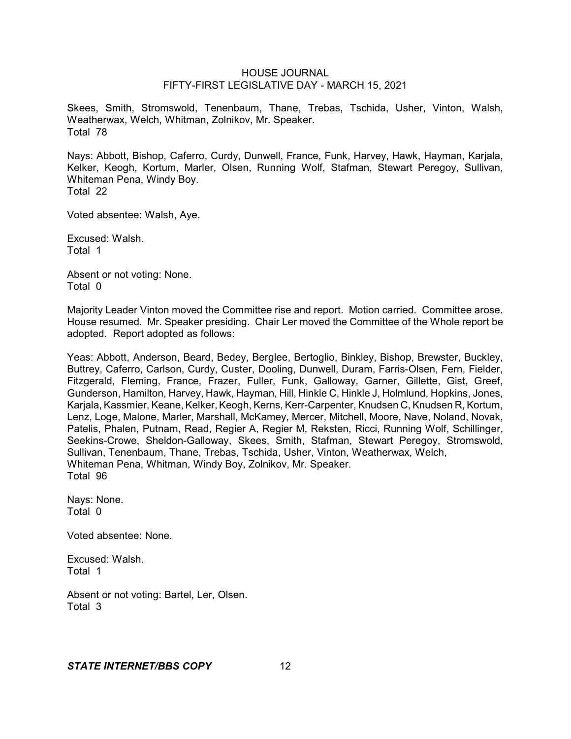Skees, Smith, Stromswold, Tenenbaum, Thane, Trebas, Tschida, Usher, Vinton, Walsh, Weatherwax, Welch, Whitman, Zolnikov, Mr. Speaker. Total 78

Nays: Abbott, Bishop, Caferro, Curdy, Dunwell, France, Funk, Harvey, Hawk, Hayman, Karjala, Kelker, Keogh, Kortum, Marler, Olsen, Running Wolf, Stafman, Stewart Peregoy, Sullivan, Whiteman Pena, Windy Boy. Total 22

Voted absentee: Walsh, Aye.

Excused: Walsh. Total 1

Absent or not voting: None. Total 0

Majority Leader Vinton moved the Committee rise and report. Motion carried. Committee arose. House resumed. Mr. Speaker presiding. Chair Ler moved the Committee of the Whole report be adopted. Report adopted as follows:

Yeas: Abbott, Anderson, Beard, Bedey, Berglee, Bertoglio, Binkley, Bishop, Brewster, Buckley, Buttrey, Caferro, Carlson, Curdy, Custer, Dooling, Dunwell, Duram, Farris-Olsen, Fern, Fielder, Fitzgerald, Fleming, France, Frazer, Fuller, Funk, Galloway, Garner, Gillette, Gist, Greef, Gunderson, Hamilton, Harvey, Hawk, Hayman, Hill, Hinkle C, Hinkle J, Holmlund, Hopkins, Jones, Karjala, Kassmier, Keane, Kelker, Keogh, Kerns, Kerr-Carpenter, Knudsen C, Knudsen R, Kortum, Lenz, Loge, Malone, Marler, Marshall, McKamey, Mercer, Mitchell, Moore, Nave, Noland, Novak, Patelis, Phalen, Putnam, Read, Regier A, Regier M, Reksten, Ricci, Running Wolf, Schillinger, Seekins-Crowe, Sheldon-Galloway, Skees, Smith, Stafman, Stewart Peregoy, Stromswold, Sullivan, Tenenbaum, Thane, Trebas, Tschida, Usher, Vinton, Weatherwax, Welch, Whiteman Pena, Whitman, Windy Boy, Zolnikov, Mr. Speaker. Total 96

Nays: None. Total 0

Voted absentee: None.

Excused: Walsh. Total 1

Absent or not voting: Bartel, Ler, Olsen. Total 3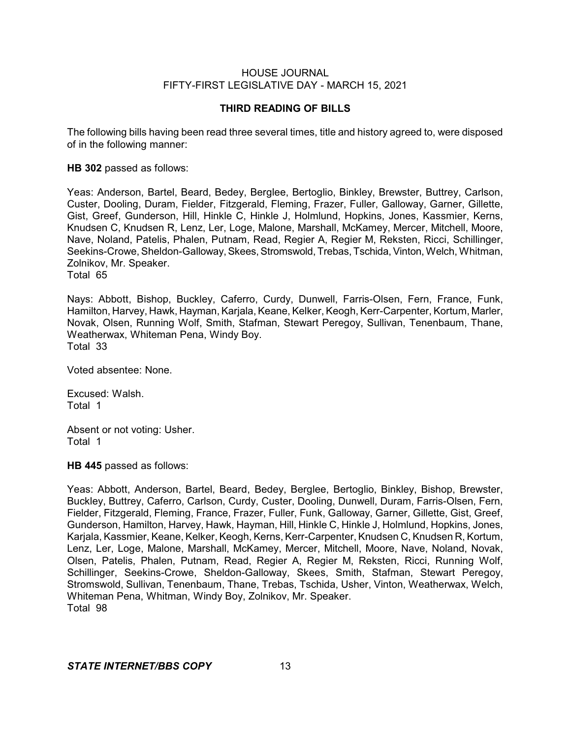# **THIRD READING OF BILLS**

The following bills having been read three several times, title and history agreed to, were disposed of in the following manner:

**HB 302** passed as follows:

Yeas: Anderson, Bartel, Beard, Bedey, Berglee, Bertoglio, Binkley, Brewster, Buttrey, Carlson, Custer, Dooling, Duram, Fielder, Fitzgerald, Fleming, Frazer, Fuller, Galloway, Garner, Gillette, Gist, Greef, Gunderson, Hill, Hinkle C, Hinkle J, Holmlund, Hopkins, Jones, Kassmier, Kerns, Knudsen C, Knudsen R, Lenz, Ler, Loge, Malone, Marshall, McKamey, Mercer, Mitchell, Moore, Nave, Noland, Patelis, Phalen, Putnam, Read, Regier A, Regier M, Reksten, Ricci, Schillinger, Seekins-Crowe, Sheldon-Galloway, Skees, Stromswold, Trebas, Tschida, Vinton, Welch, Whitman, Zolnikov, Mr. Speaker. Total 65

Nays: Abbott, Bishop, Buckley, Caferro, Curdy, Dunwell, Farris-Olsen, Fern, France, Funk, Hamilton, Harvey, Hawk, Hayman, Karjala, Keane, Kelker, Keogh, Kerr-Carpenter, Kortum, Marler, Novak, Olsen, Running Wolf, Smith, Stafman, Stewart Peregoy, Sullivan, Tenenbaum, Thane, Weatherwax, Whiteman Pena, Windy Boy. Total 33

Voted absentee: None.

Excused: Walsh. Total 1

Absent or not voting: Usher. Total 1

**HB 445** passed as follows:

Yeas: Abbott, Anderson, Bartel, Beard, Bedey, Berglee, Bertoglio, Binkley, Bishop, Brewster, Buckley, Buttrey, Caferro, Carlson, Curdy, Custer, Dooling, Dunwell, Duram, Farris-Olsen, Fern, Fielder, Fitzgerald, Fleming, France, Frazer, Fuller, Funk, Galloway, Garner, Gillette, Gist, Greef, Gunderson, Hamilton, Harvey, Hawk, Hayman, Hill, Hinkle C, Hinkle J, Holmlund, Hopkins, Jones, Karjala, Kassmier, Keane, Kelker, Keogh, Kerns, Kerr-Carpenter, Knudsen C, Knudsen R, Kortum, Lenz, Ler, Loge, Malone, Marshall, McKamey, Mercer, Mitchell, Moore, Nave, Noland, Novak, Olsen, Patelis, Phalen, Putnam, Read, Regier A, Regier M, Reksten, Ricci, Running Wolf, Schillinger, Seekins-Crowe, Sheldon-Galloway, Skees, Smith, Stafman, Stewart Peregoy, Stromswold, Sullivan, Tenenbaum, Thane, Trebas, Tschida, Usher, Vinton, Weatherwax, Welch, Whiteman Pena, Whitman, Windy Boy, Zolnikov, Mr. Speaker. Total 98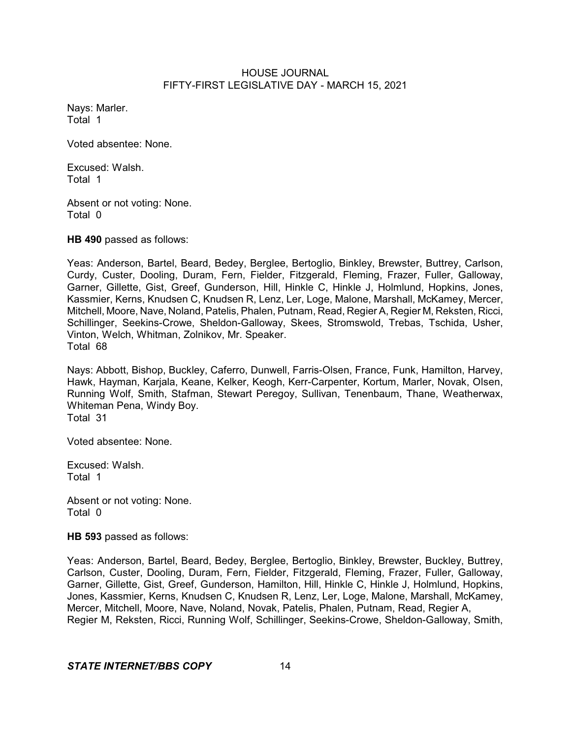Nays: Marler. Total 1

Voted absentee: None.

Excused: Walsh. Total 1

Absent or not voting: None. Total 0

**HB 490** passed as follows:

Yeas: Anderson, Bartel, Beard, Bedey, Berglee, Bertoglio, Binkley, Brewster, Buttrey, Carlson, Curdy, Custer, Dooling, Duram, Fern, Fielder, Fitzgerald, Fleming, Frazer, Fuller, Galloway, Garner, Gillette, Gist, Greef, Gunderson, Hill, Hinkle C, Hinkle J, Holmlund, Hopkins, Jones, Kassmier, Kerns, Knudsen C, Knudsen R, Lenz, Ler, Loge, Malone, Marshall, McKamey, Mercer, Mitchell, Moore, Nave, Noland, Patelis, Phalen, Putnam, Read, Regier A, Regier M, Reksten, Ricci, Schillinger, Seekins-Crowe, Sheldon-Galloway, Skees, Stromswold, Trebas, Tschida, Usher, Vinton, Welch, Whitman, Zolnikov, Mr. Speaker. Total 68

Nays: Abbott, Bishop, Buckley, Caferro, Dunwell, Farris-Olsen, France, Funk, Hamilton, Harvey, Hawk, Hayman, Karjala, Keane, Kelker, Keogh, Kerr-Carpenter, Kortum, Marler, Novak, Olsen, Running Wolf, Smith, Stafman, Stewart Peregoy, Sullivan, Tenenbaum, Thane, Weatherwax, Whiteman Pena, Windy Boy. Total 31

Voted absentee: None.

Excused: Walsh. Total 1

Absent or not voting: None. Total 0

**HB 593** passed as follows:

Yeas: Anderson, Bartel, Beard, Bedey, Berglee, Bertoglio, Binkley, Brewster, Buckley, Buttrey, Carlson, Custer, Dooling, Duram, Fern, Fielder, Fitzgerald, Fleming, Frazer, Fuller, Galloway, Garner, Gillette, Gist, Greef, Gunderson, Hamilton, Hill, Hinkle C, Hinkle J, Holmlund, Hopkins, Jones, Kassmier, Kerns, Knudsen C, Knudsen R, Lenz, Ler, Loge, Malone, Marshall, McKamey, Mercer, Mitchell, Moore, Nave, Noland, Novak, Patelis, Phalen, Putnam, Read, Regier A, Regier M, Reksten, Ricci, Running Wolf, Schillinger, Seekins-Crowe, Sheldon-Galloway, Smith,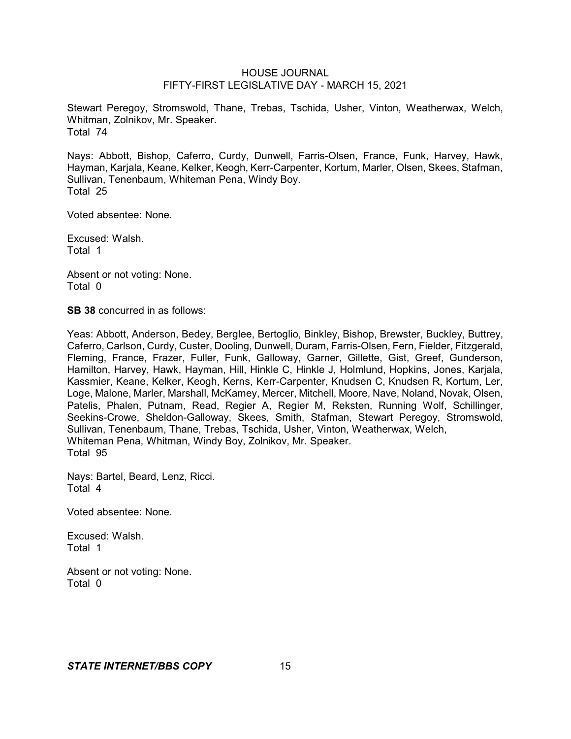Stewart Peregoy, Stromswold, Thane, Trebas, Tschida, Usher, Vinton, Weatherwax, Welch, Whitman, Zolnikov, Mr. Speaker. Total 74

Nays: Abbott, Bishop, Caferro, Curdy, Dunwell, Farris-Olsen, France, Funk, Harvey, Hawk, Hayman, Karjala, Keane, Kelker, Keogh, Kerr-Carpenter, Kortum, Marler, Olsen, Skees, Stafman, Sullivan, Tenenbaum, Whiteman Pena, Windy Boy. Total 25

Voted absentee: None.

Excused: Walsh. Total 1

Absent or not voting: None. Total 0

**SB 38** concurred in as follows:

Yeas: Abbott, Anderson, Bedey, Berglee, Bertoglio, Binkley, Bishop, Brewster, Buckley, Buttrey, Caferro, Carlson, Curdy, Custer, Dooling, Dunwell, Duram, Farris-Olsen, Fern, Fielder, Fitzgerald, Fleming, France, Frazer, Fuller, Funk, Galloway, Garner, Gillette, Gist, Greef, Gunderson, Hamilton, Harvey, Hawk, Hayman, Hill, Hinkle C, Hinkle J, Holmlund, Hopkins, Jones, Karjala, Kassmier, Keane, Kelker, Keogh, Kerns, Kerr-Carpenter, Knudsen C, Knudsen R, Kortum, Ler, Loge, Malone, Marler, Marshall, McKamey, Mercer, Mitchell, Moore, Nave, Noland, Novak, Olsen, Patelis, Phalen, Putnam, Read, Regier A, Regier M, Reksten, Running Wolf, Schillinger, Seekins-Crowe, Sheldon-Galloway, Skees, Smith, Stafman, Stewart Peregoy, Stromswold, Sullivan, Tenenbaum, Thane, Trebas, Tschida, Usher, Vinton, Weatherwax, Welch, Whiteman Pena, Whitman, Windy Boy, Zolnikov, Mr. Speaker. Total 95

Nays: Bartel, Beard, Lenz, Ricci. Total 4

Voted absentee: None.

Excused: Walsh. Total 1

Absent or not voting: None. Total 0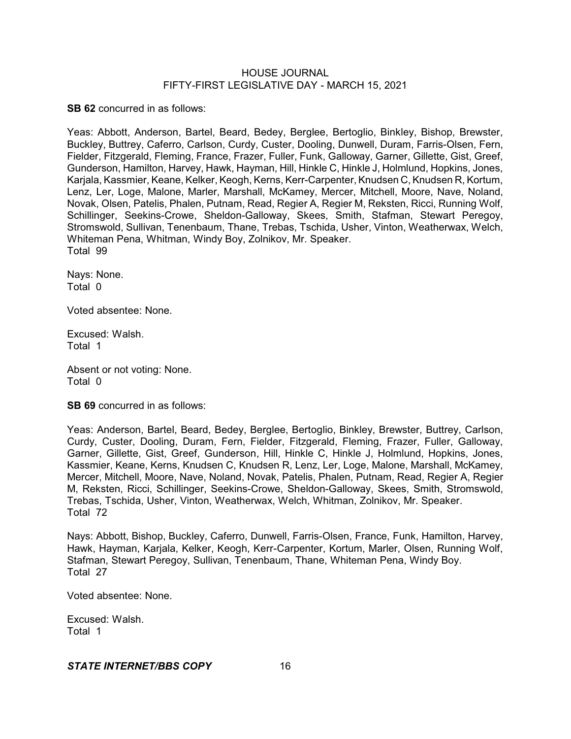**SB 62** concurred in as follows:

Yeas: Abbott, Anderson, Bartel, Beard, Bedey, Berglee, Bertoglio, Binkley, Bishop, Brewster, Buckley, Buttrey, Caferro, Carlson, Curdy, Custer, Dooling, Dunwell, Duram, Farris-Olsen, Fern, Fielder, Fitzgerald, Fleming, France, Frazer, Fuller, Funk, Galloway, Garner, Gillette, Gist, Greef, Gunderson, Hamilton, Harvey, Hawk, Hayman, Hill, Hinkle C, Hinkle J, Holmlund, Hopkins, Jones, Karjala, Kassmier, Keane, Kelker, Keogh, Kerns, Kerr-Carpenter, Knudsen C, Knudsen R, Kortum, Lenz, Ler, Loge, Malone, Marler, Marshall, McKamey, Mercer, Mitchell, Moore, Nave, Noland, Novak, Olsen, Patelis, Phalen, Putnam, Read, Regier A, Regier M, Reksten, Ricci, Running Wolf, Schillinger, Seekins-Crowe, Sheldon-Galloway, Skees, Smith, Stafman, Stewart Peregoy, Stromswold, Sullivan, Tenenbaum, Thane, Trebas, Tschida, Usher, Vinton, Weatherwax, Welch, Whiteman Pena, Whitman, Windy Boy, Zolnikov, Mr. Speaker. Total 99

Nays: None. Total 0

Voted absentee: None.

Excused: Walsh. Total 1

Absent or not voting: None. Total 0

**SB 69** concurred in as follows:

Yeas: Anderson, Bartel, Beard, Bedey, Berglee, Bertoglio, Binkley, Brewster, Buttrey, Carlson, Curdy, Custer, Dooling, Duram, Fern, Fielder, Fitzgerald, Fleming, Frazer, Fuller, Galloway, Garner, Gillette, Gist, Greef, Gunderson, Hill, Hinkle C, Hinkle J, Holmlund, Hopkins, Jones, Kassmier, Keane, Kerns, Knudsen C, Knudsen R, Lenz, Ler, Loge, Malone, Marshall, McKamey, Mercer, Mitchell, Moore, Nave, Noland, Novak, Patelis, Phalen, Putnam, Read, Regier A, Regier M, Reksten, Ricci, Schillinger, Seekins-Crowe, Sheldon-Galloway, Skees, Smith, Stromswold, Trebas, Tschida, Usher, Vinton, Weatherwax, Welch, Whitman, Zolnikov, Mr. Speaker. Total 72

Nays: Abbott, Bishop, Buckley, Caferro, Dunwell, Farris-Olsen, France, Funk, Hamilton, Harvey, Hawk, Hayman, Karjala, Kelker, Keogh, Kerr-Carpenter, Kortum, Marler, Olsen, Running Wolf, Stafman, Stewart Peregoy, Sullivan, Tenenbaum, Thane, Whiteman Pena, Windy Boy. Total 27

Voted absentee: None.

Excused: Walsh. Total 1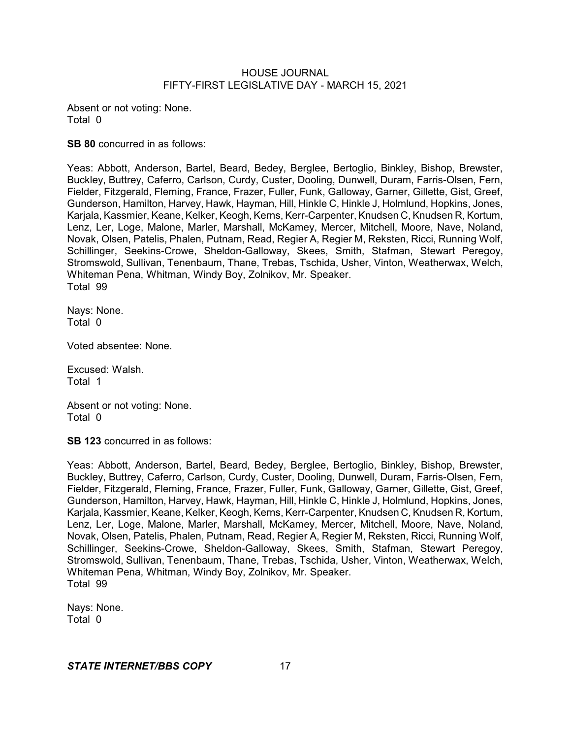Absent or not voting: None. Total 0

**SB 80** concurred in as follows:

Yeas: Abbott, Anderson, Bartel, Beard, Bedey, Berglee, Bertoglio, Binkley, Bishop, Brewster, Buckley, Buttrey, Caferro, Carlson, Curdy, Custer, Dooling, Dunwell, Duram, Farris-Olsen, Fern, Fielder, Fitzgerald, Fleming, France, Frazer, Fuller, Funk, Galloway, Garner, Gillette, Gist, Greef, Gunderson, Hamilton, Harvey, Hawk, Hayman, Hill, Hinkle C, Hinkle J, Holmlund, Hopkins, Jones, Karjala, Kassmier, Keane, Kelker, Keogh, Kerns, Kerr-Carpenter, Knudsen C, Knudsen R, Kortum, Lenz, Ler, Loge, Malone, Marler, Marshall, McKamey, Mercer, Mitchell, Moore, Nave, Noland, Novak, Olsen, Patelis, Phalen, Putnam, Read, Regier A, Regier M, Reksten, Ricci, Running Wolf, Schillinger, Seekins-Crowe, Sheldon-Galloway, Skees, Smith, Stafman, Stewart Peregoy, Stromswold, Sullivan, Tenenbaum, Thane, Trebas, Tschida, Usher, Vinton, Weatherwax, Welch, Whiteman Pena, Whitman, Windy Boy, Zolnikov, Mr. Speaker. Total 99

Nays: None. Total 0

Voted absentee: None.

Excused: Walsh. Total 1

Absent or not voting: None. Total 0

**SB 123** concurred in as follows:

Yeas: Abbott, Anderson, Bartel, Beard, Bedey, Berglee, Bertoglio, Binkley, Bishop, Brewster, Buckley, Buttrey, Caferro, Carlson, Curdy, Custer, Dooling, Dunwell, Duram, Farris-Olsen, Fern, Fielder, Fitzgerald, Fleming, France, Frazer, Fuller, Funk, Galloway, Garner, Gillette, Gist, Greef, Gunderson, Hamilton, Harvey, Hawk, Hayman, Hill, Hinkle C, Hinkle J, Holmlund, Hopkins, Jones, Karjala, Kassmier, Keane, Kelker, Keogh, Kerns, Kerr-Carpenter, Knudsen C, Knudsen R, Kortum, Lenz, Ler, Loge, Malone, Marler, Marshall, McKamey, Mercer, Mitchell, Moore, Nave, Noland, Novak, Olsen, Patelis, Phalen, Putnam, Read, Regier A, Regier M, Reksten, Ricci, Running Wolf, Schillinger, Seekins-Crowe, Sheldon-Galloway, Skees, Smith, Stafman, Stewart Peregoy, Stromswold, Sullivan, Tenenbaum, Thane, Trebas, Tschida, Usher, Vinton, Weatherwax, Welch, Whiteman Pena, Whitman, Windy Boy, Zolnikov, Mr. Speaker. Total 99

Nays: None. Total 0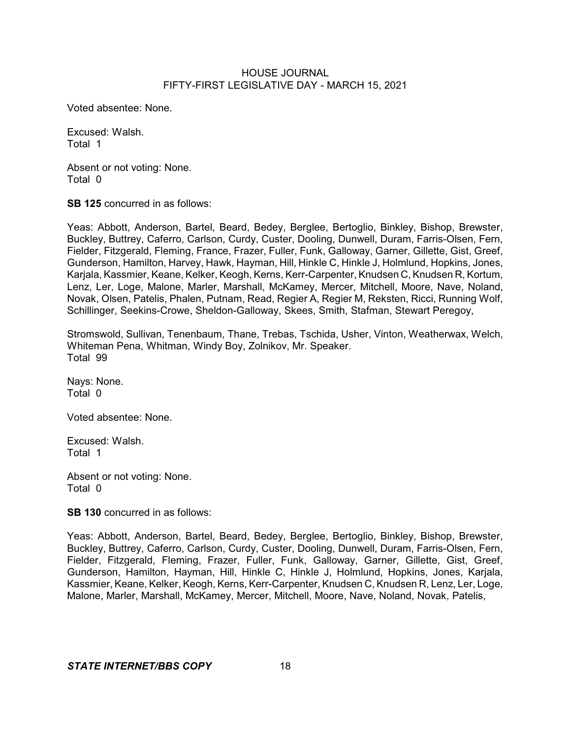Voted absentee: None.

Excused: Walsh. Total 1

Absent or not voting: None. Total 0

**SB 125** concurred in as follows:

Yeas: Abbott, Anderson, Bartel, Beard, Bedey, Berglee, Bertoglio, Binkley, Bishop, Brewster, Buckley, Buttrey, Caferro, Carlson, Curdy, Custer, Dooling, Dunwell, Duram, Farris-Olsen, Fern, Fielder, Fitzgerald, Fleming, France, Frazer, Fuller, Funk, Galloway, Garner, Gillette, Gist, Greef, Gunderson, Hamilton, Harvey, Hawk, Hayman, Hill, Hinkle C, Hinkle J, Holmlund, Hopkins, Jones, Karjala, Kassmier, Keane, Kelker, Keogh, Kerns, Kerr-Carpenter, Knudsen C, Knudsen R, Kortum, Lenz, Ler, Loge, Malone, Marler, Marshall, McKamey, Mercer, Mitchell, Moore, Nave, Noland, Novak, Olsen, Patelis, Phalen, Putnam, Read, Regier A, Regier M, Reksten, Ricci, Running Wolf, Schillinger, Seekins-Crowe, Sheldon-Galloway, Skees, Smith, Stafman, Stewart Peregoy,

Stromswold, Sullivan, Tenenbaum, Thane, Trebas, Tschida, Usher, Vinton, Weatherwax, Welch, Whiteman Pena, Whitman, Windy Boy, Zolnikov, Mr. Speaker. Total 99

Nays: None. Total 0

Voted absentee: None.

Excused: Walsh. Total 1

Absent or not voting: None. Total 0

**SB 130** concurred in as follows:

Yeas: Abbott, Anderson, Bartel, Beard, Bedey, Berglee, Bertoglio, Binkley, Bishop, Brewster, Buckley, Buttrey, Caferro, Carlson, Curdy, Custer, Dooling, Dunwell, Duram, Farris-Olsen, Fern, Fielder, Fitzgerald, Fleming, Frazer, Fuller, Funk, Galloway, Garner, Gillette, Gist, Greef, Gunderson, Hamilton, Hayman, Hill, Hinkle C, Hinkle J, Holmlund, Hopkins, Jones, Karjala, Kassmier, Keane, Kelker, Keogh, Kerns, Kerr-Carpenter, Knudsen C, Knudsen R, Lenz, Ler, Loge, Malone, Marler, Marshall, McKamey, Mercer, Mitchell, Moore, Nave, Noland, Novak, Patelis,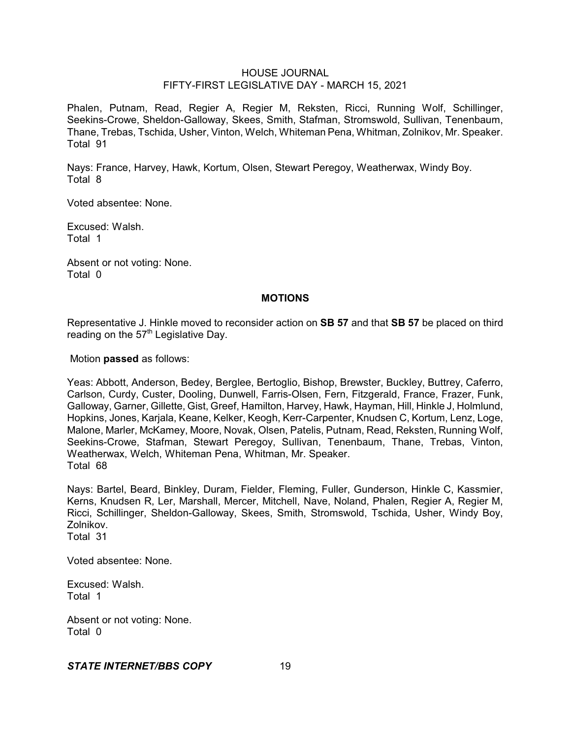Phalen, Putnam, Read, Regier A, Regier M, Reksten, Ricci, Running Wolf, Schillinger, Seekins-Crowe, Sheldon-Galloway, Skees, Smith, Stafman, Stromswold, Sullivan, Tenenbaum, Thane, Trebas, Tschida, Usher, Vinton, Welch, Whiteman Pena, Whitman, Zolnikov, Mr. Speaker. Total 91

Nays: France, Harvey, Hawk, Kortum, Olsen, Stewart Peregoy, Weatherwax, Windy Boy. Total 8

Voted absentee: None.

Excused: Walsh. Total 1

Absent or not voting: None. Total 0

#### **MOTIONS**

Representative J. Hinkle moved to reconsider action on **SB 57** and that **SB 57** be placed on third reading on the  $57<sup>th</sup>$  Legislative Day.

Motion **passed** as follows:

Yeas: Abbott, Anderson, Bedey, Berglee, Bertoglio, Bishop, Brewster, Buckley, Buttrey, Caferro, Carlson, Curdy, Custer, Dooling, Dunwell, Farris-Olsen, Fern, Fitzgerald, France, Frazer, Funk, Galloway, Garner, Gillette, Gist, Greef, Hamilton, Harvey, Hawk, Hayman, Hill, Hinkle J, Holmlund, Hopkins, Jones, Karjala, Keane, Kelker, Keogh, Kerr-Carpenter, Knudsen C, Kortum, Lenz, Loge, Malone, Marler, McKamey, Moore, Novak, Olsen, Patelis, Putnam, Read, Reksten, Running Wolf, Seekins-Crowe, Stafman, Stewart Peregoy, Sullivan, Tenenbaum, Thane, Trebas, Vinton, Weatherwax, Welch, Whiteman Pena, Whitman, Mr. Speaker. Total 68

Nays: Bartel, Beard, Binkley, Duram, Fielder, Fleming, Fuller, Gunderson, Hinkle C, Kassmier, Kerns, Knudsen R, Ler, Marshall, Mercer, Mitchell, Nave, Noland, Phalen, Regier A, Regier M, Ricci, Schillinger, Sheldon-Galloway, Skees, Smith, Stromswold, Tschida, Usher, Windy Boy, Zolnikov. Total 31

Voted absentee: None.

Excused: Walsh. Total 1

Absent or not voting: None. Total 0